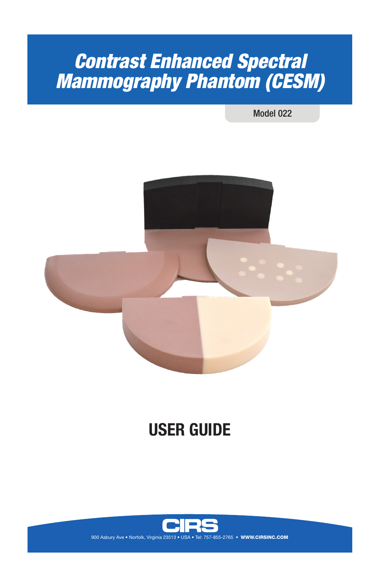# *Contrast Enhanced Spectral Mammography Phantom (CESM)*

Model 022



# **USER GUIDE**

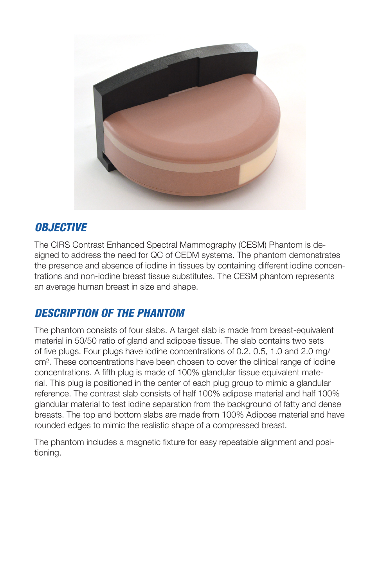

### *OBJECTIVE*

The CIRS Contrast Enhanced Spectral Mammography (CESM) Phantom is designed to address the need for QC of CEDM systems. The phantom demonstrates the presence and absence of iodine in tissues by containing different iodine concentrations and non-iodine breast tissue substitutes. The CESM phantom represents an average human breast in size and shape.

## *DESCRIPTION OF THE PHANTOM*

The phantom consists of four slabs. A target slab is made from breast-equivalent material in 50/50 ratio of gland and adipose tissue. The slab contains two sets of five plugs. Four plugs have iodine concentrations of 0.2, 0.5, 1.0 and 2.0 mg/ cm². These concentrations have been chosen to cover the clinical range of iodine concentrations. A fifth plug is made of 100% glandular tissue equivalent material. This plug is positioned in the center of each plug group to mimic a glandular reference. The contrast slab consists of half 100% adipose material and half 100% glandular material to test iodine separation from the background of fatty and dense breasts. The top and bottom slabs are made from 100% Adipose material and have rounded edges to mimic the realistic shape of a compressed breast.

The phantom includes a magnetic fixture for easy repeatable alignment and positioning.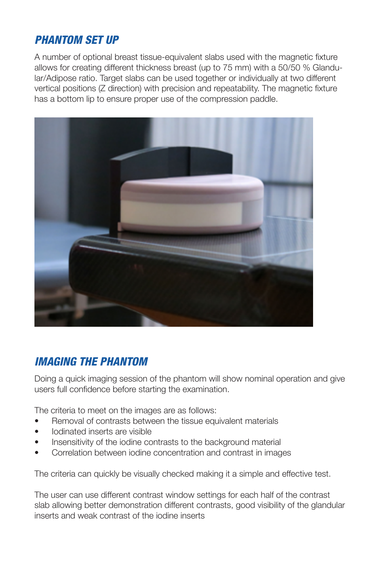### *PHANTOM SET UP*

A number of optional breast tissue-equivalent slabs used with the magnetic fixture allows for creating different thickness breast (up to 75 mm) with a 50/50 % Glandular/Adipose ratio. Target slabs can be used together or individually at two different vertical positions (Z direction) with precision and repeatability. The magnetic fixture has a bottom lip to ensure proper use of the compression paddle.



## *IMAGING THE PHANTOM*

Doing a quick imaging session of the phantom will show nominal operation and give users full confidence before starting the examination.

The criteria to meet on the images are as follows:

- Removal of contrasts between the tissue equivalent materials
- Iodinated inserts are visible
- Insensitivity of the iodine contrasts to the background material
- Correlation between iodine concentration and contrast in images

The criteria can quickly be visually checked making it a simple and effective test.

The user can use different contrast window settings for each half of the contrast slab allowing better demonstration different contrasts, good visibility of the glandular inserts and weak contrast of the iodine inserts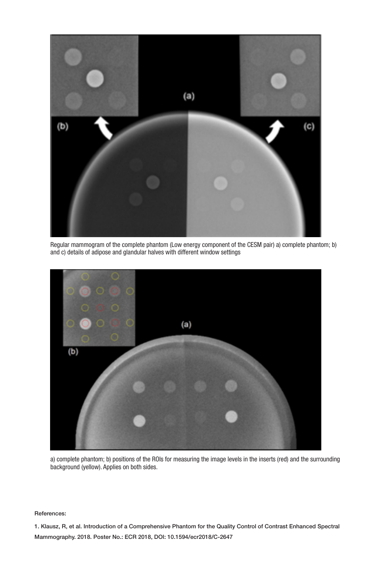

Regular mammogram of the complete phantom (Low energy component of the CESM pair) a) complete phantom; b) and c) details of adipose and glandular halves with different window settings



a) complete phantom; b) positions of the ROIs for measuring the image levels in the inserts (red) and the surrounding background (yellow). Applies on both sides.

#### References:

1. Klausz, R, et al. Introduction of a Comprehensive Phantom for the Quality Control of Contrast Enhanced Spectral Mammography. 2018. Poster No.: ECR 2018, DOI: 10.1594/ecr2018/C-2647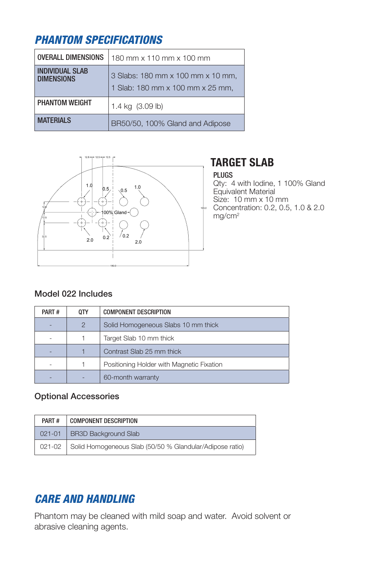# *PHANTOM SPECIFICATIONS*

| <b>OVERALL DIMENSIONS</b>                   | 180 mm x 110 mm x 100 mm                                              |  |  |
|---------------------------------------------|-----------------------------------------------------------------------|--|--|
| <b>INDIVIDUAL SLAB</b><br><b>DIMENSIONS</b> | 3 Slabs: 180 mm x 100 mm x 10 mm,<br>1 Slab: 180 mm x 100 mm x 25 mm, |  |  |
| <b>PHANTOM WEIGHT</b>                       | 1.4 kg (3.09 lb)                                                      |  |  |
| <b>MATFRIALS</b>                            | BR50/50, 100% Gland and Adipose                                       |  |  |



# **TARGET SLAB**

### PLUGS

Qty: 4 with Iodine, 1 100% Gland Equivalent Material Size: 10 mm x 10 mm Concentration: 0.2, 0.5, 1.0 & 2.0 mg/cm2

### Model 022 Includes

| PART# | 0TY            | <b>COMPONENT DESCRIPTION</b>              |  |
|-------|----------------|-------------------------------------------|--|
|       | $\overline{2}$ | Solid Homogeneous Slabs 10 mm thick       |  |
|       |                | Target Slab 10 mm thick                   |  |
|       |                | Contrast Slab 25 mm thick                 |  |
|       |                | Positioning Holder with Magnetic Fixation |  |
|       |                | 60-month warranty                         |  |

### Optional Accessories

| PART#      | <b>COMPONENT DESCRIPTION</b>                                      |  |  |
|------------|-------------------------------------------------------------------|--|--|
| $021 - 01$ | <b>BR3D Background Slab</b>                                       |  |  |
|            | 021-02   Solid Homogeneous Slab (50/50 % Glandular/Adipose ratio) |  |  |

# *CARE AND HANDLING*

Phantom may be cleaned with mild soap and water. Avoid solvent or abrasive cleaning agents.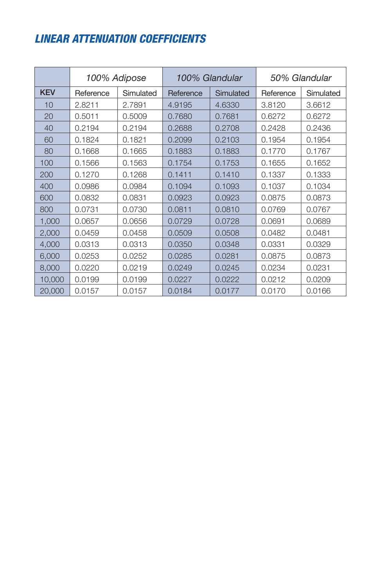# *LINEAR ATTENUATION COEFFICIENTS*

|            | 100% Adipose |           | 100% Glandular |           | 50% Glandular |           |
|------------|--------------|-----------|----------------|-----------|---------------|-----------|
| <b>KEV</b> | Reference    | Simulated | Reference      | Simulated | Reference     | Simulated |
| 10         | 2.8211       | 2.7891    | 4.9195         | 4.6330    | 3.8120        | 3.6612    |
| 20         | 0.5011       | 0.5009    | 0.7680         | 0.7681    | 0.6272        | 0.6272    |
| 40         | 0.2194       | 0.2194    | 0.2688         | 0.2708    | 0.2428        | 0.2436    |
| 60         | 0.1824       | 0.1821    | 0.2099         | 0.2103    | 0.1954        | 0.1954    |
| 80         | 0.1668       | 0.1665    | 0.1883         | 0.1883    | 0.1770        | 0.1767    |
| 100        | 0.1566       | 0.1563    | 0.1754         | 0.1753    | 0.1655        | 0.1652    |
| 200        | 0.1270       | 0.1268    | 0.1411         | 0.1410    | 0.1337        | 0.1333    |
| 400        | 0.0986       | 0.0984    | 0.1094         | 0.1093    | 0.1037        | 0.1034    |
| 600        | 0.0832       | 0.0831    | 0.0923         | 0.0923    | 0.0875        | 0.0873    |
| 800        | 0.0731       | 0.0730    | 0.0811         | 0.0810    | 0.0769        | 0.0767    |
| 1,000      | 0.0657       | 0.0656    | 0.0729         | 0.0728    | 0.0691        | 0.0689    |
| 2,000      | 0.0459       | 0.0458    | 0.0509         | 0.0508    | 0.0482        | 0.0481    |
| 4,000      | 0.0313       | 0.0313    | 0.0350         | 0.0348    | 0.0331        | 0.0329    |
| 6,000      | 0.0253       | 0.0252    | 0.0285         | 0.0281    | 0.0875        | 0.0873    |
| 8,000      | 0.0220       | 0.0219    | 0.0249         | 0.0245    | 0.0234        | 0.0231    |
| 10,000     | 0.0199       | 0.0199    | 0.0227         | 0.0222    | 0.0212        | 0.0209    |
| 20,000     | 0.0157       | 0.0157    | 0.0184         | 0.0177    | 0.0170        | 0.0166    |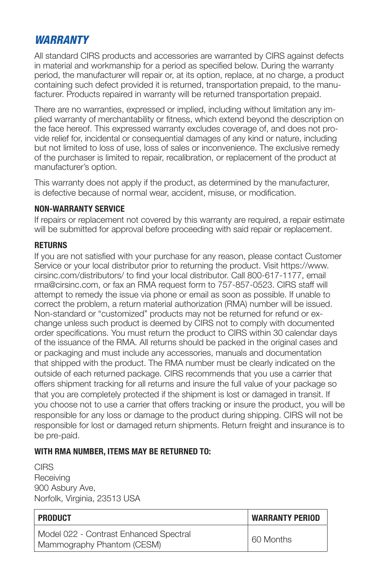### *WARRANTY*

All standard CIRS products and accessories are warranted by CIRS against defects in material and workmanship for a period as specified below. During the warranty period, the manufacturer will repair or, at its option, replace, at no charge, a product containing such defect provided it is returned, transportation prepaid, to the manufacturer. Products repaired in warranty will be returned transportation prepaid.

There are no warranties, expressed or implied, including without limitation any implied warranty of merchantability or fitness, which extend beyond the description on the face hereof. This expressed warranty excludes coverage of, and does not provide relief for, incidental or consequential damages of any kind or nature, including but not limited to loss of use, loss of sales or inconvenience. The exclusive remedy of the purchaser is limited to repair, recalibration, or replacement of the product at manufacturer's option.

This warranty does not apply if the product, as determined by the manufacturer, is defective because of normal wear, accident, misuse, or modification.

### **NON-WARRANTY SERVICE**

If repairs or replacement not covered by this warranty are required, a repair estimate will be submitted for approval before proceeding with said repair or replacement.

### **RETURNS**

If you are not satisfied with your purchase for any reason, please contact Customer Service or your local distributor prior to returning the product. Visit https://www. cirsinc.com/distributors/ to find your local distributor. Call 800-617-1177, email rma@cirsinc.com, or fax an RMA request form to 757-857-0523. CIRS staff will attempt to remedy the issue via phone or email as soon as possible. If unable to correct the problem, a return material authorization (RMA) number will be issued. Non-standard or "customized" products may not be returned for refund or exchange unless such product is deemed by CIRS not to comply with documented order specifications. You must return the product to CIRS within 30 calendar days of the issuance of the RMA. All returns should be packed in the original cases and or packaging and must include any accessories, manuals and documentation that shipped with the product. The RMA number must be clearly indicated on the outside of each returned package. CIRS recommends that you use a carrier that offers shipment tracking for all returns and insure the full value of your package so that you are completely protected if the shipment is lost or damaged in transit. If you choose not to use a carrier that offers tracking or insure the product, you will be responsible for any loss or damage to the product during shipping. CIRS will not be responsible for lost or damaged return shipments. Return freight and insurance is to be pre-paid.

### **WITH RMA NUMBER, ITEMS MAY BE RETURNED TO:**

**CIRS Receiving** 900 Asbury Ave, Norfolk, Virginia, 23513 USA

| <b>PRODUCT</b>                                                       | <b>WARRANTY PERIOD</b> |  |
|----------------------------------------------------------------------|------------------------|--|
| Model 022 - Contrast Enhanced Spectral<br>Mammography Phantom (CESM) | 60 Months              |  |